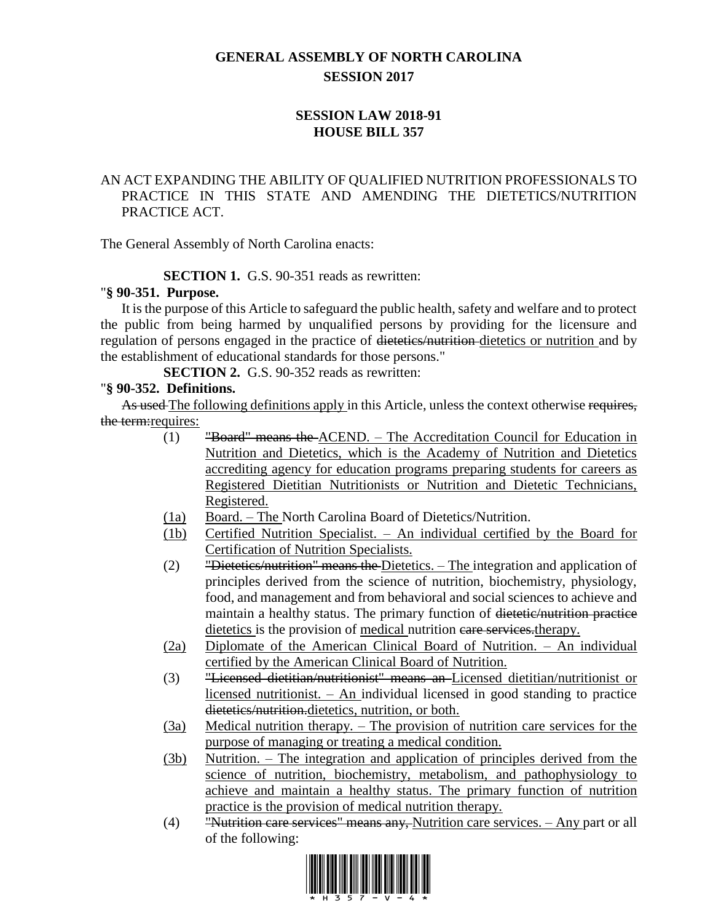# **GENERAL ASSEMBLY OF NORTH CAROLINA SESSION 2017**

# **SESSION LAW 2018-91 HOUSE BILL 357**

# AN ACT EXPANDING THE ABILITY OF QUALIFIED NUTRITION PROFESSIONALS TO PRACTICE IN THIS STATE AND AMENDING THE DIETETICS/NUTRITION PRACTICE ACT.

The General Assembly of North Carolina enacts:

# **SECTION 1.** G.S. 90-351 reads as rewritten:

#### "**§ 90-351. Purpose.**

It is the purpose of this Article to safeguard the public health, safety and welfare and to protect the public from being harmed by unqualified persons by providing for the licensure and regulation of persons engaged in the practice of dietetics/nutrition dietetics or nutrition and by the establishment of educational standards for those persons."

**SECTION 2.** G.S. 90-352 reads as rewritten:

# "**§ 90-352. Definitions.**

As used The following definitions apply in this Article, unless the context otherwise requires, the term: requires:

- (1) "Board" means the ACEND. The Accreditation Council for Education in Nutrition and Dietetics, which is the Academy of Nutrition and Dietetics accrediting agency for education programs preparing students for careers as Registered Dietitian Nutritionists or Nutrition and Dietetic Technicians, Registered.
- (1a) Board. The North Carolina Board of Dietetics/Nutrition.
- (1b) Certified Nutrition Specialist. An individual certified by the Board for Certification of Nutrition Specialists.
- (2) "Dietetics/nutrition" means the Dietetics. The integration and application of principles derived from the science of nutrition, biochemistry, physiology, food, and management and from behavioral and social sciences to achieve and maintain a healthy status. The primary function of dietetic/nutrition practice dietetics is the provision of medical nutrition care services. therapy.
- (2a) Diplomate of the American Clinical Board of Nutrition. An individual certified by the American Clinical Board of Nutrition.
- (3) "Licensed dietitian/nutritionist" means an Licensed dietitian/nutritionist or licensed nutritionist.  $-$  An individual licensed in good standing to practice dietetics/nutrition.dietetics, nutrition, or both.
- (3a) Medical nutrition therapy. The provision of nutrition care services for the purpose of managing or treating a medical condition.
- (3b) Nutrition. The integration and application of principles derived from the science of nutrition, biochemistry, metabolism, and pathophysiology to achieve and maintain a healthy status. The primary function of nutrition practice is the provision of medical nutrition therapy.
- (4) "Nutrition care services" means any, Nutrition care services. Any part or all of the following:

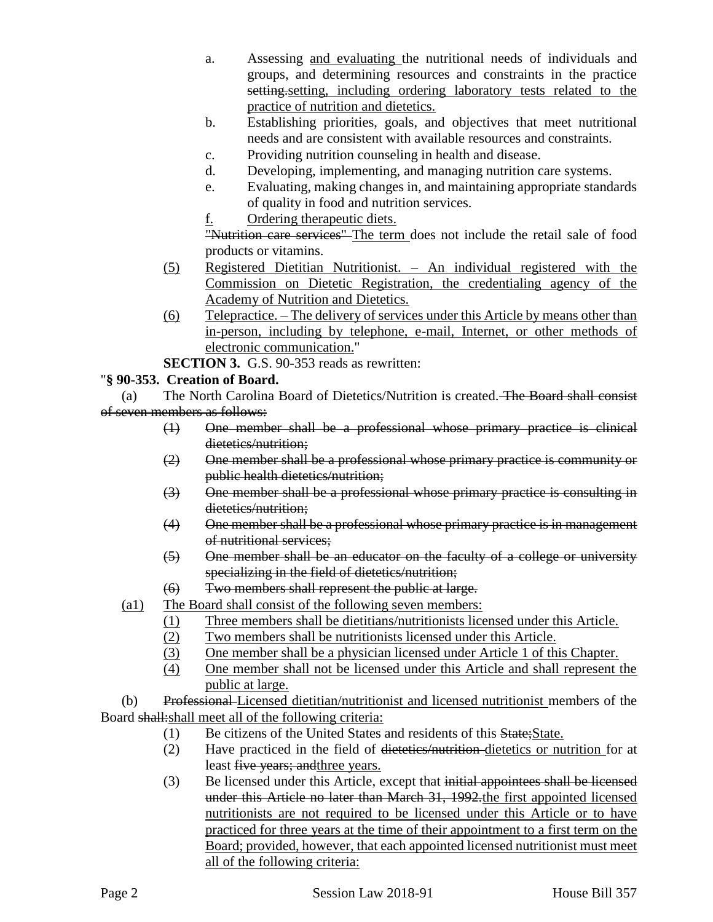- a. Assessing and evaluating the nutritional needs of individuals and groups, and determining resources and constraints in the practice setting, setting, including ordering laboratory tests related to the practice of nutrition and dietetics.
- b. Establishing priorities, goals, and objectives that meet nutritional needs and are consistent with available resources and constraints.
- c. Providing nutrition counseling in health and disease.
- d. Developing, implementing, and managing nutrition care systems.
- e. Evaluating, making changes in, and maintaining appropriate standards of quality in food and nutrition services.
- f. Ordering therapeutic diets.

"Nutrition care services" The term does not include the retail sale of food products or vitamins.

- (5) Registered Dietitian Nutritionist. An individual registered with the Commission on Dietetic Registration, the credentialing agency of the Academy of Nutrition and Dietetics.
- (6) Telepractice. The delivery of services under this Article by means other than in-person, including by telephone, e-mail, Internet, or other methods of electronic communication."
- **SECTION 3.** G.S. 90-353 reads as rewritten:

# "**§ 90-353. Creation of Board.**

(a) The North Carolina Board of Dietetics/Nutrition is created. The Board shall consist of seven members as follows:

- (1) One member shall be a professional whose primary practice is clinical dietetics/nutrition;
- (2) One member shall be a professional whose primary practice is community or public health dietetics/nutrition;
- (3) One member shall be a professional whose primary practice is consulting in dietetics/nutrition;
- (4) One member shall be a professional whose primary practice is in management of nutritional services;
- (5) One member shall be an educator on the faculty of a college or university specializing in the field of dietetics/nutrition;
- (6) Two members shall represent the public at large.
- (a1) The Board shall consist of the following seven members:
	- (1) Three members shall be dietitians/nutritionists licensed under this Article.
	- (2) Two members shall be nutritionists licensed under this Article.
	- (3) One member shall be a physician licensed under Article 1 of this Chapter.
	- (4) One member shall not be licensed under this Article and shall represent the public at large.

(b) Professional Licensed dietitian/nutritionist and licensed nutritionist members of the Board shall:shall meet all of the following criteria:

- (1) Be citizens of the United States and residents of this State;State.
- (2) Have practiced in the field of dietetics/nutrition dietetics or nutrition for at least five years; andthree years.
- (3) Be licensed under this Article, except that initial appointees shall be licensed under this Article no later than March 31, 1992.the first appointed licensed nutritionists are not required to be licensed under this Article or to have practiced for three years at the time of their appointment to a first term on the Board; provided, however, that each appointed licensed nutritionist must meet all of the following criteria: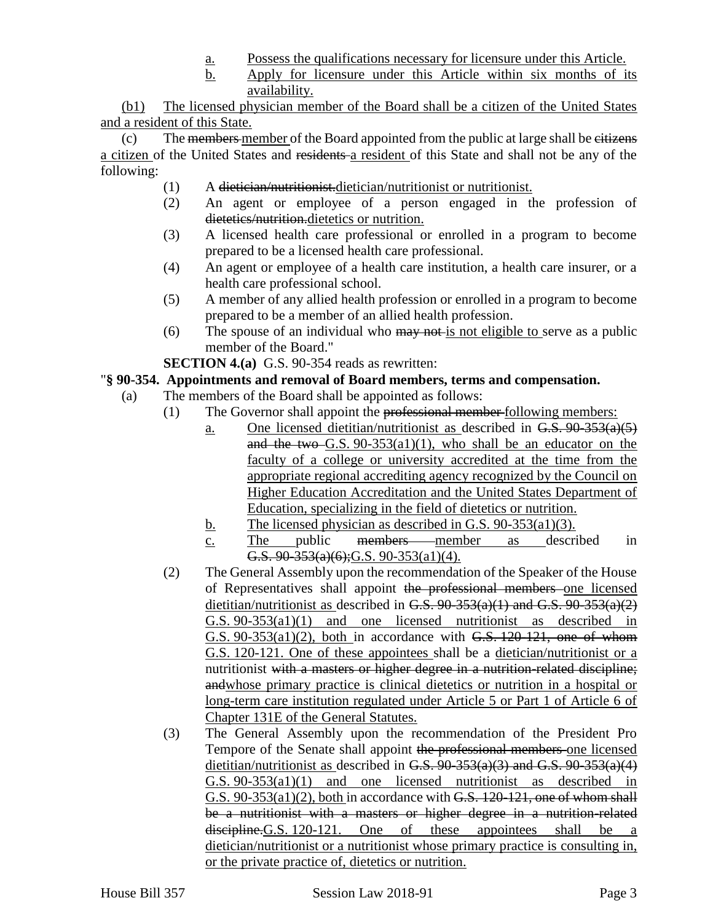- a. Possess the qualifications necessary for licensure under this Article.
- b. Apply for licensure under this Article within six months of its availability.

(b1) The licensed physician member of the Board shall be a citizen of the United States and a resident of this State.

 $(c)$  The members member of the Board appointed from the public at large shall be eitizens a citizen of the United States and residents a resident of this State and shall not be any of the following:

- (1) A dietician/nutritionist.dietician/nutritionist or nutritionist.
- (2) An agent or employee of a person engaged in the profession of dietetics/nutrition.dietetics or nutrition.
- (3) A licensed health care professional or enrolled in a program to become prepared to be a licensed health care professional.
- (4) An agent or employee of a health care institution, a health care insurer, or a health care professional school.
- (5) A member of any allied health profession or enrolled in a program to become prepared to be a member of an allied health profession.
- (6) The spouse of an individual who  $\frac{may}{gt}$  not eligible to serve as a public member of the Board."

**SECTION 4.(a)** G.S. 90-354 reads as rewritten:

## "**§ 90-354. Appointments and removal of Board members, terms and compensation.**

- (a) The members of the Board shall be appointed as follows:
	- (1) The Governor shall appoint the professional member following members:
		- a. One licensed dietitian/nutritionist as described in  $G.S. 90-353(a)(5)$ and the two G.S.  $90-353(a1)(1)$ , who shall be an educator on the faculty of a college or university accredited at the time from the appropriate regional accrediting agency recognized by the Council on Higher Education Accreditation and the United States Department of Education, specializing in the field of dietetics or nutrition.
		- b. The licensed physician as described in G.S. 90-353(a1)(3).
		- c. The public members member as described in G.S.  $90-353(a)(6)$ ; G.S.  $90-353(a1)(4)$ .
	- (2) The General Assembly upon the recommendation of the Speaker of the House of Representatives shall appoint the professional members one licensed dietitian/nutritionist as described in G.S.  $90-353(a)(1)$  and G.S.  $90-353(a)(2)$ G.S. 90-353(a1)(1) and one licensed nutritionist as described in  $G.S. 90-353(a1)(2)$ , both in accordance with  $G.S. 120-121$ , one of whom G.S. 120-121. One of these appointees shall be a dietician/nutritionist or a nutritionist with a masters or higher degree in a nutrition-related discipline; andwhose primary practice is clinical dietetics or nutrition in a hospital or long-term care institution regulated under Article 5 or Part 1 of Article 6 of Chapter 131E of the General Statutes.
	- (3) The General Assembly upon the recommendation of the President Pro Tempore of the Senate shall appoint the professional members one licensed dietitian/nutritionist as described in G.S. 90-353(a)(3) and G.S. 90-353(a)(4) G.S. 90-353(a1)(1) and one licensed nutritionist as described in G.S. 90-353(a1)(2), both in accordance with G.S. 120-121, one of whom shall be a nutritionist with a masters or higher degree in a nutrition-related discipline. G.S. 120-121. One of these appointees shall be a dietician/nutritionist or a nutritionist whose primary practice is consulting in, or the private practice of, dietetics or nutrition.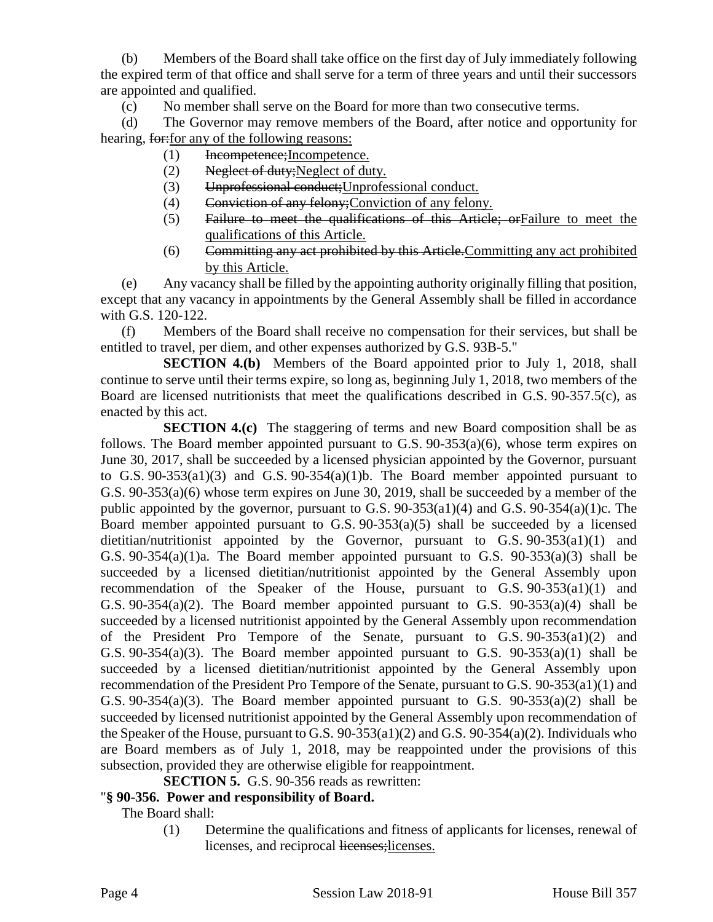(b) Members of the Board shall take office on the first day of July immediately following the expired term of that office and shall serve for a term of three years and until their successors are appointed and qualified.

(c) No member shall serve on the Board for more than two consecutive terms.

(d) The Governor may remove members of the Board, after notice and opportunity for hearing, for: for any of the following reasons:

- (1) Incompetence;Incompetence.
- (2) Neglect of duty;Neglect of duty.
- (3) Unprofessional conduct;Unprofessional conduct.
- (4) Conviction of any felony;Conviction of any felony.
- (5) Failure to meet the qualifications of this Article; orFailure to meet the qualifications of this Article.
- (6) Committing any act prohibited by this Article.Committing any act prohibited by this Article.

(e) Any vacancy shall be filled by the appointing authority originally filling that position, except that any vacancy in appointments by the General Assembly shall be filled in accordance with G.S. 120-122.

(f) Members of the Board shall receive no compensation for their services, but shall be entitled to travel, per diem, and other expenses authorized by G.S. 93B-5."

**SECTION 4.(b)** Members of the Board appointed prior to July 1, 2018, shall continue to serve until their terms expire, so long as, beginning July 1, 2018, two members of the Board are licensed nutritionists that meet the qualifications described in G.S. 90-357.5(c), as enacted by this act.

**SECTION 4.(c)** The staggering of terms and new Board composition shall be as follows. The Board member appointed pursuant to G.S. 90-353(a)(6), whose term expires on June 30, 2017, shall be succeeded by a licensed physician appointed by the Governor, pursuant to G.S. 90-353(a1)(3) and G.S. 90-354(a)(1)b. The Board member appointed pursuant to G.S. 90-353(a)(6) whose term expires on June 30, 2019, shall be succeeded by a member of the public appointed by the governor, pursuant to G.S. 90-353(a1)(4) and G.S. 90-354(a)(1)c. The Board member appointed pursuant to G.S. 90-353(a)(5) shall be succeeded by a licensed dietitian/nutritionist appointed by the Governor, pursuant to G.S. 90-353(a1)(1) and G.S.  $90-354(a)(1)a$ . The Board member appointed pursuant to G.S.  $90-353(a)(3)$  shall be succeeded by a licensed dietitian/nutritionist appointed by the General Assembly upon recommendation of the Speaker of the House, pursuant to G.S. 90-353(a1)(1) and G.S.  $90-354(a)(2)$ . The Board member appointed pursuant to G.S.  $90-353(a)(4)$  shall be succeeded by a licensed nutritionist appointed by the General Assembly upon recommendation of the President Pro Tempore of the Senate, pursuant to G.S. 90-353(a1)(2) and G.S.  $90-354(a)(3)$ . The Board member appointed pursuant to G.S.  $90-353(a)(1)$  shall be succeeded by a licensed dietitian/nutritionist appointed by the General Assembly upon recommendation of the President Pro Tempore of the Senate, pursuant to G.S. 90-353(a1)(1) and G.S.  $90-354(a)(3)$ . The Board member appointed pursuant to G.S.  $90-353(a)(2)$  shall be succeeded by licensed nutritionist appointed by the General Assembly upon recommendation of the Speaker of the House, pursuant to G.S. 90-353(a1)(2) and G.S. 90-354(a)(2). Individuals who are Board members as of July 1, 2018, may be reappointed under the provisions of this subsection, provided they are otherwise eligible for reappointment.

**SECTION 5.** G.S. 90-356 reads as rewritten:

# "**§ 90-356. Power and responsibility of Board.**

The Board shall:

(1) Determine the qualifications and fitness of applicants for licenses, renewal of licenses, and reciprocal licenses;licenses.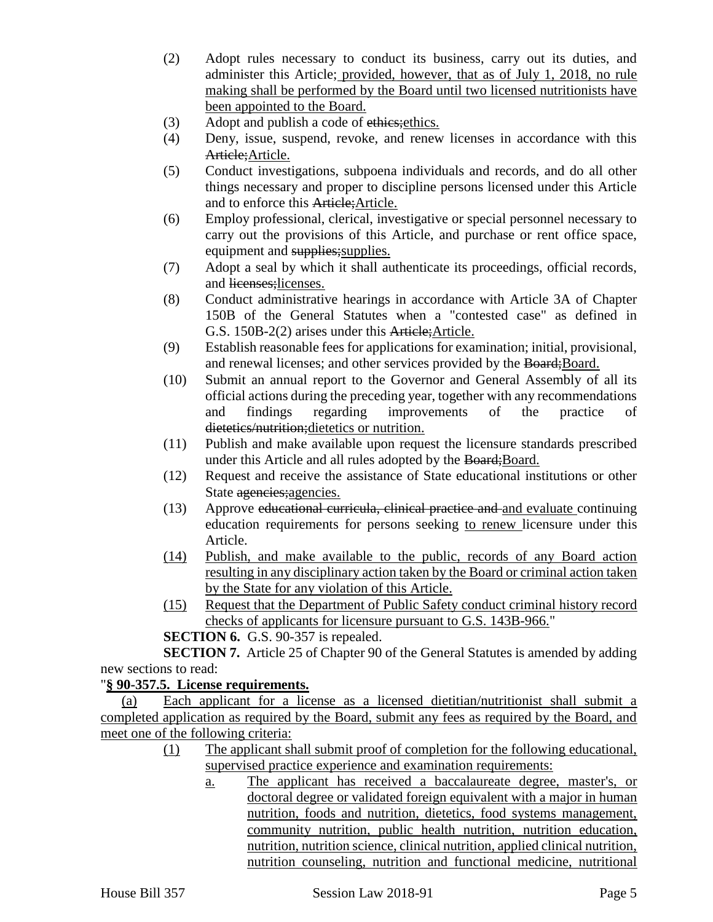- (2) Adopt rules necessary to conduct its business, carry out its duties, and administer this Article; provided, however, that as of July 1, 2018, no rule making shall be performed by the Board until two licensed nutritionists have been appointed to the Board.
- (3) Adopt and publish a code of ethics; ethics.
- (4) Deny, issue, suspend, revoke, and renew licenses in accordance with this Article; Article.
- (5) Conduct investigations, subpoena individuals and records, and do all other things necessary and proper to discipline persons licensed under this Article and to enforce this Article;Article.
- (6) Employ professional, clerical, investigative or special personnel necessary to carry out the provisions of this Article, and purchase or rent office space, equipment and supplies; supplies.
- (7) Adopt a seal by which it shall authenticate its proceedings, official records, and licenses;licenses.
- (8) Conduct administrative hearings in accordance with Article 3A of Chapter 150B of the General Statutes when a "contested case" as defined in G.S. 150B-2(2) arises under this Article;Article.
- (9) Establish reasonable fees for applications for examination; initial, provisional, and renewal licenses; and other services provided by the Board; Board.
- (10) Submit an annual report to the Governor and General Assembly of all its official actions during the preceding year, together with any recommendations and findings regarding improvements of the practice of dietetics/nutrition;dietetics or nutrition.
- (11) Publish and make available upon request the licensure standards prescribed under this Article and all rules adopted by the Board; Board.
- (12) Request and receive the assistance of State educational institutions or other State agencies;agencies.
- (13) Approve educational curricula, clinical practice and and evaluate continuing education requirements for persons seeking to renew licensure under this Article.
- (14) Publish, and make available to the public, records of any Board action resulting in any disciplinary action taken by the Board or criminal action taken by the State for any violation of this Article.
- (15) Request that the Department of Public Safety conduct criminal history record checks of applicants for licensure pursuant to G.S. 143B-966."

**SECTION 6.** G.S. 90-357 is repealed.

**SECTION 7.** Article 25 of Chapter 90 of the General Statutes is amended by adding new sections to read:

# "**§ 90-357.5. License requirements.**

(a) Each applicant for a license as a licensed dietitian/nutritionist shall submit a completed application as required by the Board, submit any fees as required by the Board, and meet one of the following criteria:

- (1) The applicant shall submit proof of completion for the following educational, supervised practice experience and examination requirements:
	- a. The applicant has received a baccalaureate degree, master's, or doctoral degree or validated foreign equivalent with a major in human nutrition, foods and nutrition, dietetics, food systems management, community nutrition, public health nutrition, nutrition education, nutrition, nutrition science, clinical nutrition, applied clinical nutrition, nutrition counseling, nutrition and functional medicine, nutritional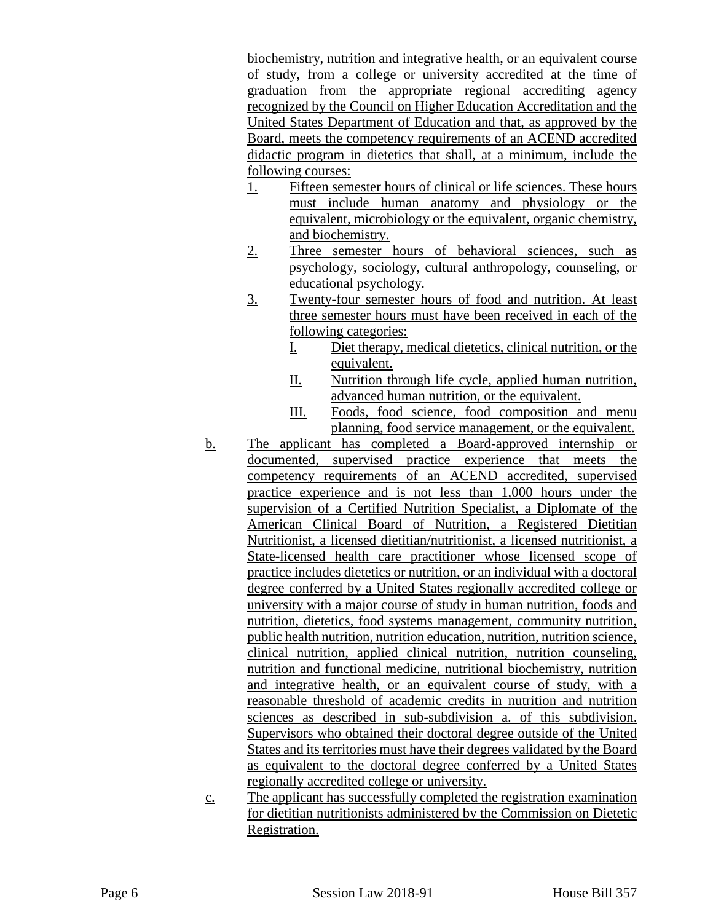biochemistry, nutrition and integrative health, or an equivalent course of study, from a college or university accredited at the time of graduation from the appropriate regional accrediting agency recognized by the Council on Higher Education Accreditation and the United States Department of Education and that, as approved by the Board, meets the competency requirements of an ACEND accredited didactic program in dietetics that shall, at a minimum, include the following courses:

- 1. Fifteen semester hours of clinical or life sciences. These hours must include human anatomy and physiology or the equivalent, microbiology or the equivalent, organic chemistry, and biochemistry.
- 2. Three semester hours of behavioral sciences, such as psychology, sociology, cultural anthropology, counseling, or educational psychology.
- 3. Twenty-four semester hours of food and nutrition. At least three semester hours must have been received in each of the following categories:
	- I. Diet therapy, medical dietetics, clinical nutrition, or the equivalent.
	- II. Nutrition through life cycle, applied human nutrition, advanced human nutrition, or the equivalent.
	- III. Foods, food science, food composition and menu planning, food service management, or the equivalent.
- b. The applicant has completed a Board-approved internship or documented, supervised practice experience that meets the competency requirements of an ACEND accredited, supervised practice experience and is not less than 1,000 hours under the supervision of a Certified Nutrition Specialist, a Diplomate of the American Clinical Board of Nutrition, a Registered Dietitian Nutritionist, a licensed dietitian/nutritionist, a licensed nutritionist, a State-licensed health care practitioner whose licensed scope of practice includes dietetics or nutrition, or an individual with a doctoral degree conferred by a United States regionally accredited college or university with a major course of study in human nutrition, foods and nutrition, dietetics, food systems management, community nutrition, public health nutrition, nutrition education, nutrition, nutrition science, clinical nutrition, applied clinical nutrition, nutrition counseling, nutrition and functional medicine, nutritional biochemistry, nutrition and integrative health, or an equivalent course of study, with a reasonable threshold of academic credits in nutrition and nutrition sciences as described in sub-subdivision a. of this subdivision. Supervisors who obtained their doctoral degree outside of the United States and its territories must have their degrees validated by the Board as equivalent to the doctoral degree conferred by a United States regionally accredited college or university.
- c. The applicant has successfully completed the registration examination for dietitian nutritionists administered by the Commission on Dietetic Registration.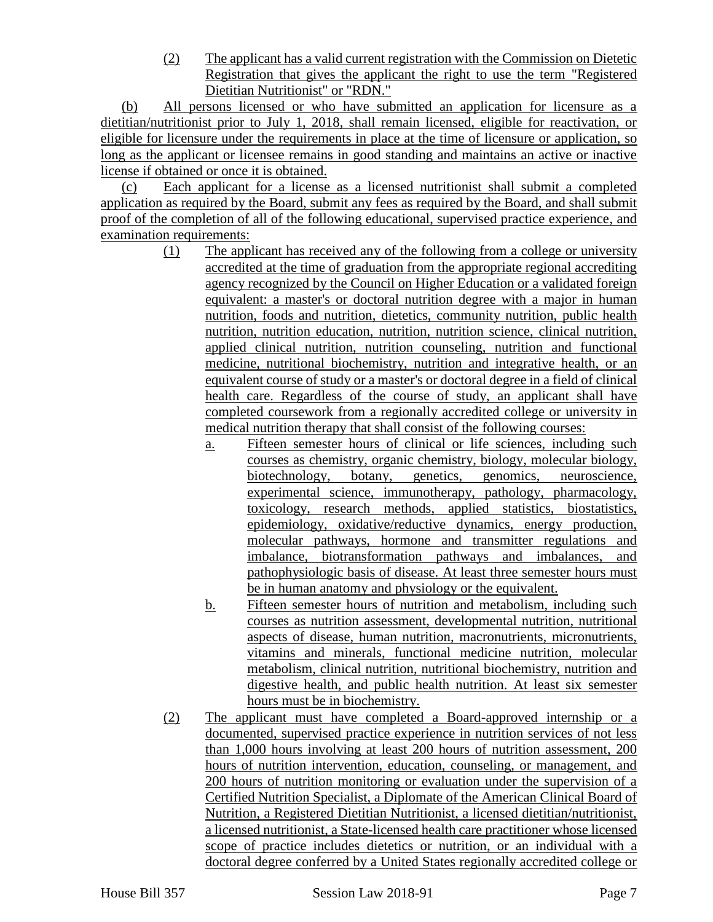(2) The applicant has a valid current registration with the Commission on Dietetic Registration that gives the applicant the right to use the term "Registered Dietitian Nutritionist" or "RDN."

(b) All persons licensed or who have submitted an application for licensure as a dietitian/nutritionist prior to July 1, 2018, shall remain licensed, eligible for reactivation, or eligible for licensure under the requirements in place at the time of licensure or application, so long as the applicant or licensee remains in good standing and maintains an active or inactive license if obtained or once it is obtained.

(c) Each applicant for a license as a licensed nutritionist shall submit a completed application as required by the Board, submit any fees as required by the Board, and shall submit proof of the completion of all of the following educational, supervised practice experience, and examination requirements:

- (1) The applicant has received any of the following from a college or university accredited at the time of graduation from the appropriate regional accrediting agency recognized by the Council on Higher Education or a validated foreign equivalent: a master's or doctoral nutrition degree with a major in human nutrition, foods and nutrition, dietetics, community nutrition, public health nutrition, nutrition education, nutrition, nutrition science, clinical nutrition, applied clinical nutrition, nutrition counseling, nutrition and functional medicine, nutritional biochemistry, nutrition and integrative health, or an equivalent course of study or a master's or doctoral degree in a field of clinical health care. Regardless of the course of study, an applicant shall have completed coursework from a regionally accredited college or university in medical nutrition therapy that shall consist of the following courses:
	- a. Fifteen semester hours of clinical or life sciences, including such courses as chemistry, organic chemistry, biology, molecular biology, biotechnology, botany, genetics, genomics, neuroscience, experimental science, immunotherapy, pathology, pharmacology, toxicology, research methods, applied statistics, biostatistics, epidemiology, oxidative/reductive dynamics, energy production, molecular pathways, hormone and transmitter regulations and imbalance, biotransformation pathways and imbalances, and pathophysiologic basis of disease. At least three semester hours must be in human anatomy and physiology or the equivalent.
	- b. Fifteen semester hours of nutrition and metabolism, including such courses as nutrition assessment, developmental nutrition, nutritional aspects of disease, human nutrition, macronutrients, micronutrients, vitamins and minerals, functional medicine nutrition, molecular metabolism, clinical nutrition, nutritional biochemistry, nutrition and digestive health, and public health nutrition. At least six semester hours must be in biochemistry.
- (2) The applicant must have completed a Board-approved internship or a documented, supervised practice experience in nutrition services of not less than 1,000 hours involving at least 200 hours of nutrition assessment, 200 hours of nutrition intervention, education, counseling, or management, and 200 hours of nutrition monitoring or evaluation under the supervision of a Certified Nutrition Specialist, a Diplomate of the American Clinical Board of Nutrition, a Registered Dietitian Nutritionist, a licensed dietitian/nutritionist, a licensed nutritionist, a State-licensed health care practitioner whose licensed scope of practice includes dietetics or nutrition, or an individual with a doctoral degree conferred by a United States regionally accredited college or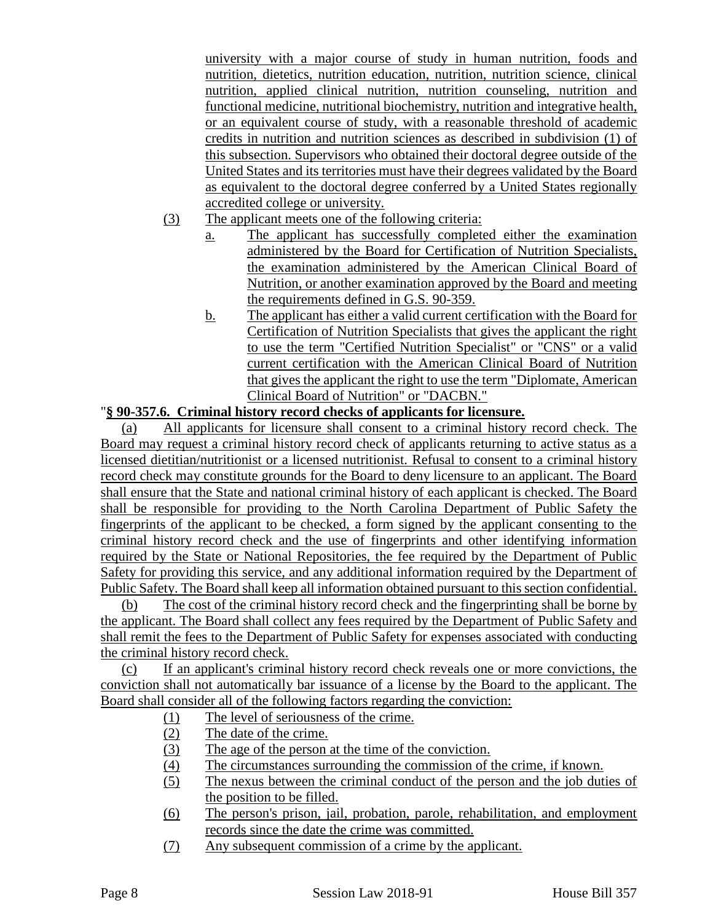university with a major course of study in human nutrition, foods and nutrition, dietetics, nutrition education, nutrition, nutrition science, clinical nutrition, applied clinical nutrition, nutrition counseling, nutrition and functional medicine, nutritional biochemistry, nutrition and integrative health, or an equivalent course of study, with a reasonable threshold of academic credits in nutrition and nutrition sciences as described in subdivision (1) of this subsection. Supervisors who obtained their doctoral degree outside of the United States and its territories must have their degrees validated by the Board as equivalent to the doctoral degree conferred by a United States regionally accredited college or university.

- (3) The applicant meets one of the following criteria:
	- a. The applicant has successfully completed either the examination administered by the Board for Certification of Nutrition Specialists, the examination administered by the American Clinical Board of Nutrition, or another examination approved by the Board and meeting the requirements defined in G.S. 90-359.
	- b. The applicant has either a valid current certification with the Board for Certification of Nutrition Specialists that gives the applicant the right to use the term "Certified Nutrition Specialist" or "CNS" or a valid current certification with the American Clinical Board of Nutrition that gives the applicant the right to use the term "Diplomate, American Clinical Board of Nutrition" or "DACBN."

## "**§ 90-357.6. Criminal history record checks of applicants for licensure.**

(a) All applicants for licensure shall consent to a criminal history record check. The Board may request a criminal history record check of applicants returning to active status as a licensed dietitian/nutritionist or a licensed nutritionist. Refusal to consent to a criminal history record check may constitute grounds for the Board to deny licensure to an applicant. The Board shall ensure that the State and national criminal history of each applicant is checked. The Board shall be responsible for providing to the North Carolina Department of Public Safety the fingerprints of the applicant to be checked, a form signed by the applicant consenting to the criminal history record check and the use of fingerprints and other identifying information required by the State or National Repositories, the fee required by the Department of Public Safety for providing this service, and any additional information required by the Department of Public Safety. The Board shall keep all information obtained pursuant to this section confidential.

(b) The cost of the criminal history record check and the fingerprinting shall be borne by the applicant. The Board shall collect any fees required by the Department of Public Safety and shall remit the fees to the Department of Public Safety for expenses associated with conducting the criminal history record check.

(c) If an applicant's criminal history record check reveals one or more convictions, the conviction shall not automatically bar issuance of a license by the Board to the applicant. The Board shall consider all of the following factors regarding the conviction:

- (1) The level of seriousness of the crime.
- (2) The date of the crime.
- (3) The age of the person at the time of the conviction.
- (4) The circumstances surrounding the commission of the crime, if known.
- (5) The nexus between the criminal conduct of the person and the job duties of the position to be filled.
- (6) The person's prison, jail, probation, parole, rehabilitation, and employment records since the date the crime was committed.
- (7) Any subsequent commission of a crime by the applicant.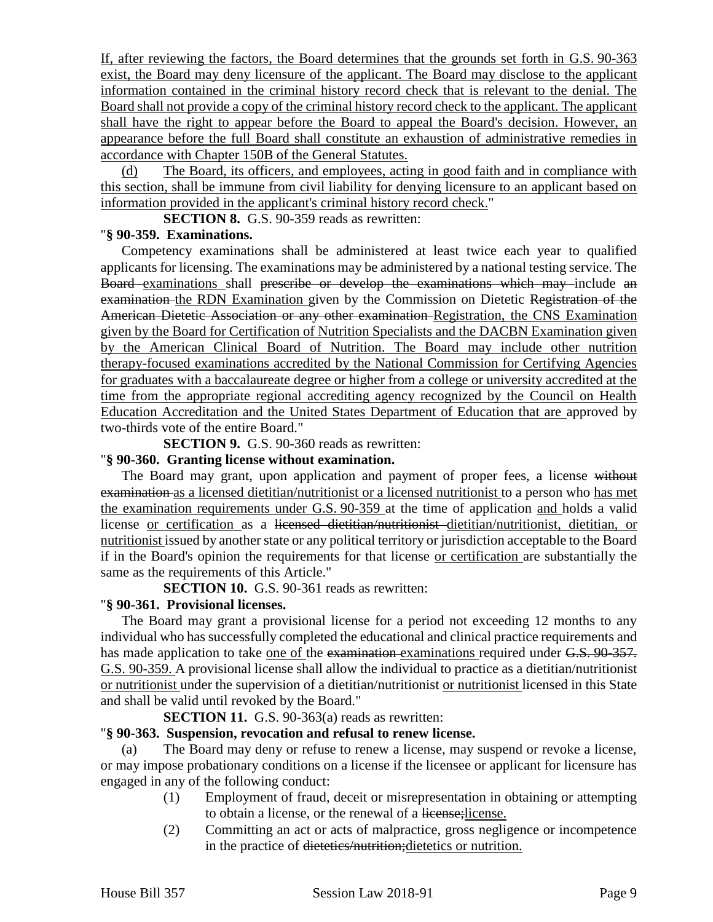If, after reviewing the factors, the Board determines that the grounds set forth in G.S. 90-363 exist, the Board may deny licensure of the applicant. The Board may disclose to the applicant information contained in the criminal history record check that is relevant to the denial. The Board shall not provide a copy of the criminal history record check to the applicant. The applicant shall have the right to appear before the Board to appeal the Board's decision. However, an appearance before the full Board shall constitute an exhaustion of administrative remedies in accordance with Chapter 150B of the General Statutes.

(d) The Board, its officers, and employees, acting in good faith and in compliance with this section, shall be immune from civil liability for denying licensure to an applicant based on information provided in the applicant's criminal history record check."

**SECTION 8.** G.S. 90-359 reads as rewritten:

#### "**§ 90-359. Examinations.**

Competency examinations shall be administered at least twice each year to qualified applicants for licensing. The examinations may be administered by a national testing service. The Board examinations shall prescribe or develop the examinations which may include an examination the RDN Examination given by the Commission on Dietetic Registration of the American Dietetic Association or any other examination Registration, the CNS Examination given by the Board for Certification of Nutrition Specialists and the DACBN Examination given by the American Clinical Board of Nutrition. The Board may include other nutrition therapy-focused examinations accredited by the National Commission for Certifying Agencies for graduates with a baccalaureate degree or higher from a college or university accredited at the time from the appropriate regional accrediting agency recognized by the Council on Health Education Accreditation and the United States Department of Education that are approved by two-thirds vote of the entire Board."

**SECTION 9.** G.S. 90-360 reads as rewritten:

## "**§ 90-360. Granting license without examination.**

The Board may grant, upon application and payment of proper fees, a license without examination as a licensed dietitian/nutritionist or a licensed nutritionist to a person who has met the examination requirements under G.S. 90-359 at the time of application and holds a valid license or certification as a licensed dietitian/nutritionist dietitian/nutritionist, dietitian, or nutritionist issued by another state or any political territory or jurisdiction acceptable to the Board if in the Board's opinion the requirements for that license or certification are substantially the same as the requirements of this Article."

**SECTION 10.** G.S. 90-361 reads as rewritten:

# "**§ 90-361. Provisional licenses.**

The Board may grant a provisional license for a period not exceeding 12 months to any individual who has successfully completed the educational and clinical practice requirements and has made application to take <u>one of the examination examinations</u> required under G.S. 90-357. G.S. 90-359. A provisional license shall allow the individual to practice as a dietitian/nutritionist or nutritionist under the supervision of a dietitian/nutritionist or nutritionist licensed in this State and shall be valid until revoked by the Board."

# **SECTION 11.** G.S. 90-363(a) reads as rewritten:

#### "**§ 90-363. Suspension, revocation and refusal to renew license.**

(a) The Board may deny or refuse to renew a license, may suspend or revoke a license, or may impose probationary conditions on a license if the licensee or applicant for licensure has engaged in any of the following conduct:

- (1) Employment of fraud, deceit or misrepresentation in obtaining or attempting to obtain a license, or the renewal of a license;license.
- (2) Committing an act or acts of malpractice, gross negligence or incompetence in the practice of dietetics/nutrition;dietetics or nutrition.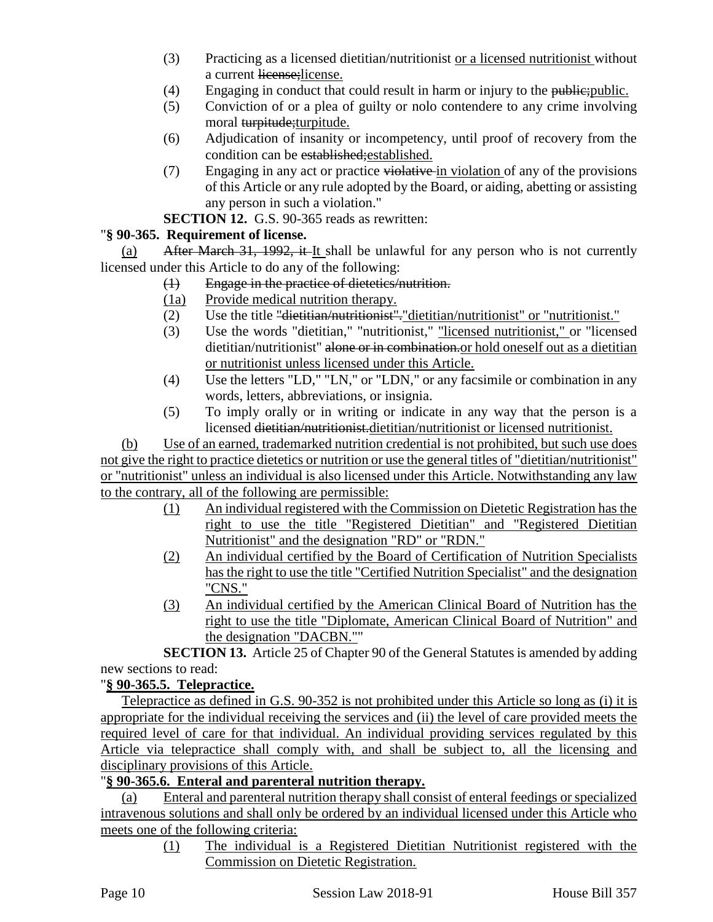- (3) Practicing as a licensed dietitian/nutritionist or a licensed nutritionist without a current license;license.
- $(4)$  Engaging in conduct that could result in harm or injury to the public; public.
- (5) Conviction of or a plea of guilty or nolo contendere to any crime involving moral turpitude; turpitude.
- (6) Adjudication of insanity or incompetency, until proof of recovery from the condition can be established;established.
- (7) Engaging in any act or practice violative in violation of any of the provisions of this Article or any rule adopted by the Board, or aiding, abetting or assisting any person in such a violation."

## **SECTION 12.** G.S. 90-365 reads as rewritten:

# "**§ 90-365. Requirement of license.**

(a) After March 31, 1992, it It shall be unlawful for any person who is not currently licensed under this Article to do any of the following:

- (1) Engage in the practice of dietetics/nutrition.
- (1a) Provide medical nutrition therapy.
- (2) Use the title "dietitian/nutritionist"."dietitian/nutritionist" or "nutritionist."
- (3) Use the words "dietitian," "nutritionist," "licensed nutritionist," or "licensed dietitian/nutritionist" alone or in combination. Or hold oneself out as a dietitian or nutritionist unless licensed under this Article.
- (4) Use the letters "LD," "LN," or "LDN," or any facsimile or combination in any words, letters, abbreviations, or insignia.
- (5) To imply orally or in writing or indicate in any way that the person is a licensed dietitian/nutritionist.dietitian/nutritionist or licensed nutritionist.

(b) Use of an earned, trademarked nutrition credential is not prohibited, but such use does not give the right to practice dietetics or nutrition or use the general titles of "dietitian/nutritionist" or "nutritionist" unless an individual is also licensed under this Article. Notwithstanding any law to the contrary, all of the following are permissible:

- (1) An individual registered with the Commission on Dietetic Registration has the right to use the title "Registered Dietitian" and "Registered Dietitian Nutritionist" and the designation "RD" or "RDN."
- (2) An individual certified by the Board of Certification of Nutrition Specialists has the right to use the title "Certified Nutrition Specialist" and the designation "CNS."
- (3) An individual certified by the American Clinical Board of Nutrition has the right to use the title "Diplomate, American Clinical Board of Nutrition" and the designation "DACBN.""

**SECTION 13.** Article 25 of Chapter 90 of the General Statutes is amended by adding new sections to read:

# "**§ 90-365.5. Telepractice.**

Telepractice as defined in G.S. 90-352 is not prohibited under this Article so long as (i) it is appropriate for the individual receiving the services and (ii) the level of care provided meets the required level of care for that individual. An individual providing services regulated by this Article via telepractice shall comply with, and shall be subject to, all the licensing and disciplinary provisions of this Article.

# "**§ 90-365.6. Enteral and parenteral nutrition therapy.**

(a) Enteral and parenteral nutrition therapy shall consist of enteral feedings or specialized intravenous solutions and shall only be ordered by an individual licensed under this Article who meets one of the following criteria:

> (1) The individual is a Registered Dietitian Nutritionist registered with the Commission on Dietetic Registration.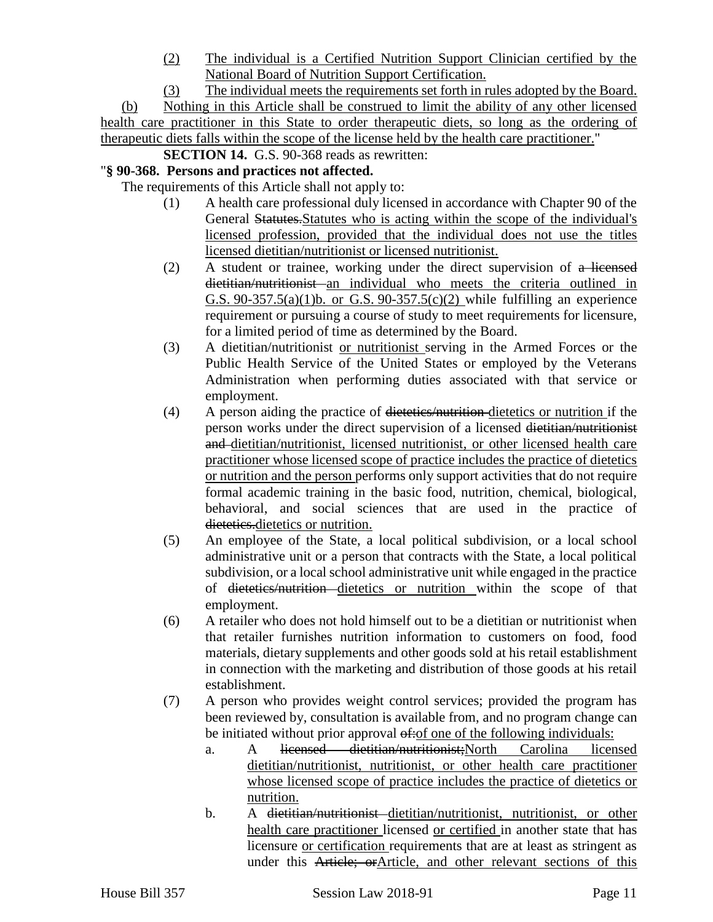(2) The individual is a Certified Nutrition Support Clinician certified by the National Board of Nutrition Support Certification.

(3) The individual meets the requirements set forth in rules adopted by the Board. (b) Nothing in this Article shall be construed to limit the ability of any other licensed health care practitioner in this State to order therapeutic diets, so long as the ordering of therapeutic diets falls within the scope of the license held by the health care practitioner."

**SECTION 14.** G.S. 90-368 reads as rewritten:

# "**§ 90-368. Persons and practices not affected.**

The requirements of this Article shall not apply to:

- (1) A health care professional duly licensed in accordance with Chapter 90 of the General Statutes.Statutes who is acting within the scope of the individual's licensed profession, provided that the individual does not use the titles licensed dietitian/nutritionist or licensed nutritionist.
- (2) A student or trainee, working under the direct supervision of a licensed dietitian/nutritionist an individual who meets the criteria outlined in G.S.  $90-357.5(a)(1)b$ . or G.S.  $90-357.5(c)(2)$  while fulfilling an experience requirement or pursuing a course of study to meet requirements for licensure, for a limited period of time as determined by the Board.
- (3) A dietitian/nutritionist or nutritionist serving in the Armed Forces or the Public Health Service of the United States or employed by the Veterans Administration when performing duties associated with that service or employment.
- (4) A person aiding the practice of dietetics/nutrition dietetics or nutrition if the person works under the direct supervision of a licensed dietitian/nutritionist and dietitian/nutritionist, licensed nutritionist, or other licensed health care practitioner whose licensed scope of practice includes the practice of dietetics or nutrition and the person performs only support activities that do not require formal academic training in the basic food, nutrition, chemical, biological, behavioral, and social sciences that are used in the practice of dietetics.dietetics or nutrition.
- (5) An employee of the State, a local political subdivision, or a local school administrative unit or a person that contracts with the State, a local political subdivision, or a local school administrative unit while engaged in the practice of dietetics/nutrition dietetics or nutrition within the scope of that employment.
- (6) A retailer who does not hold himself out to be a dietitian or nutritionist when that retailer furnishes nutrition information to customers on food, food materials, dietary supplements and other goods sold at his retail establishment in connection with the marketing and distribution of those goods at his retail establishment.
- (7) A person who provides weight control services; provided the program has been reviewed by, consultation is available from, and no program change can be initiated without prior approval  $\theta$ : of one of the following individuals:
	- a. A licensed dietitian/nutritionist;North Carolina licensed dietitian/nutritionist, nutritionist, or other health care practitioner whose licensed scope of practice includes the practice of dietetics or nutrition.
	- b. A dietitian/nutritionist dietitian/nutritionist, nutritionist, or other health care practitioner licensed or certified in another state that has licensure or certification requirements that are at least as stringent as under this Article; orArticle, and other relevant sections of this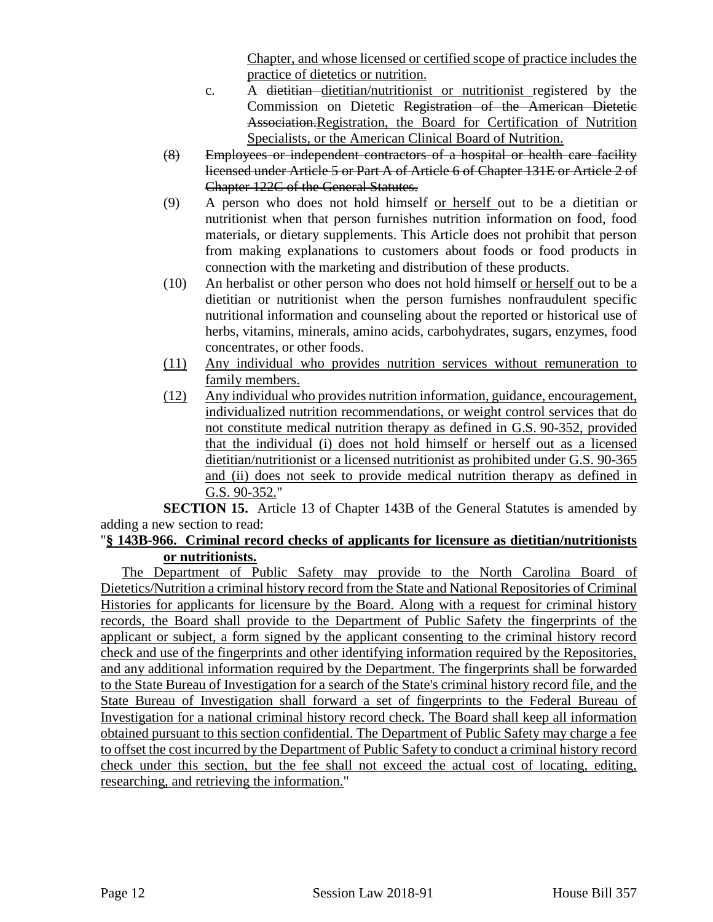Chapter, and whose licensed or certified scope of practice includes the practice of dietetics or nutrition.

- c. A dietitian dietitian/nutritionist or nutritionist registered by the Commission on Dietetic Registration of the American Dietetic Association.Registration, the Board for Certification of Nutrition Specialists, or the American Clinical Board of Nutrition.
- (8) Employees or independent contractors of a hospital or health care facility licensed under Article 5 or Part A of Article 6 of Chapter 131E or Article 2 of Chapter 122C of the General Statutes.
- (9) A person who does not hold himself or herself out to be a dietitian or nutritionist when that person furnishes nutrition information on food, food materials, or dietary supplements. This Article does not prohibit that person from making explanations to customers about foods or food products in connection with the marketing and distribution of these products.
- (10) An herbalist or other person who does not hold himself or herself out to be a dietitian or nutritionist when the person furnishes nonfraudulent specific nutritional information and counseling about the reported or historical use of herbs, vitamins, minerals, amino acids, carbohydrates, sugars, enzymes, food concentrates, or other foods.
- (11) Any individual who provides nutrition services without remuneration to family members.
- (12) Any individual who provides nutrition information, guidance, encouragement, individualized nutrition recommendations, or weight control services that do not constitute medical nutrition therapy as defined in G.S. 90-352, provided that the individual (i) does not hold himself or herself out as a licensed dietitian/nutritionist or a licensed nutritionist as prohibited under G.S. 90-365 and (ii) does not seek to provide medical nutrition therapy as defined in G.S. 90-352."

**SECTION 15.** Article 13 of Chapter 143B of the General Statutes is amended by adding a new section to read:

# "**§ 143B-966. Criminal record checks of applicants for licensure as dietitian/nutritionists or nutritionists.**

The Department of Public Safety may provide to the North Carolina Board of Dietetics/Nutrition a criminal history record from the State and National Repositories of Criminal Histories for applicants for licensure by the Board. Along with a request for criminal history records, the Board shall provide to the Department of Public Safety the fingerprints of the applicant or subject, a form signed by the applicant consenting to the criminal history record check and use of the fingerprints and other identifying information required by the Repositories, and any additional information required by the Department. The fingerprints shall be forwarded to the State Bureau of Investigation for a search of the State's criminal history record file, and the State Bureau of Investigation shall forward a set of fingerprints to the Federal Bureau of Investigation for a national criminal history record check. The Board shall keep all information obtained pursuant to this section confidential. The Department of Public Safety may charge a fee to offset the cost incurred by the Department of Public Safety to conduct a criminal history record check under this section, but the fee shall not exceed the actual cost of locating, editing, researching, and retrieving the information."